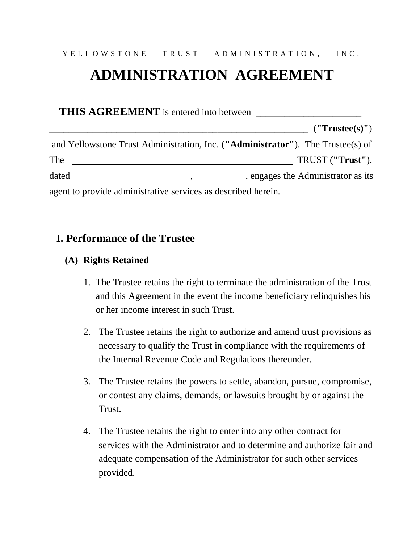# **ADMINISTRATION AGREEMENT**

|       | (''Trustee(s)")                                                                                                                                                                                                                                                                                                                                                                                                       |
|-------|-----------------------------------------------------------------------------------------------------------------------------------------------------------------------------------------------------------------------------------------------------------------------------------------------------------------------------------------------------------------------------------------------------------------------|
|       | and Yellowstone Trust Administration, Inc. ("Administrator"). The Trustee(s) of                                                                                                                                                                                                                                                                                                                                       |
| The   | TRUST ("Trust"),                                                                                                                                                                                                                                                                                                                                                                                                      |
| dated | $\frac{1}{1-\frac{1}{1-\frac{1}{1-\frac{1}{1-\frac{1}{1-\frac{1}{1-\frac{1}{1-\frac{1}{1-\frac{1}{1-\frac{1}{1-\frac{1}{1-\frac{1}{1-\frac{1}{1-\frac{1}{1-\frac{1}{1-\frac{1}{1-\frac{1}{1-\frac{1}{1-\frac{1}{1-\frac{1}{1-\frac{1}{1-\frac{1}{1-\frac{1}{1-\frac{1}{1-\frac{1}{1-\frac{1}{1-\frac{1}{1-\frac{1}{1-\frac{1}{1-\frac{1}{1-\frac{1}{1-\frac{1}{1-\frac{1}{1-\frac{1}{1-\frac{1}{1-\frac{1}{1-\frac{1$ |
|       | agent to provide administrative services as described herein.                                                                                                                                                                                                                                                                                                                                                         |

## **I. Performance of the Trustee**

#### **(A) Rights Retained**

- 1. The Trustee retains the right to terminate the administration of the Trust and this Agreement in the event the income beneficiary relinquishes his or her income interest in such Trust.
- 2. The Trustee retains the right to authorize and amend trust provisions as necessary to qualify the Trust in compliance with the requirements of the Internal Revenue Code and Regulations thereunder.
- 3. The Trustee retains the powers to settle, abandon, pursue, compromise, or contest any claims, demands, or lawsuits brought by or against the Trust.
- 4. The Trustee retains the right to enter into any other contract for services with the Administrator and to determine and authorize fair and adequate compensation of the Administrator for such other services provided.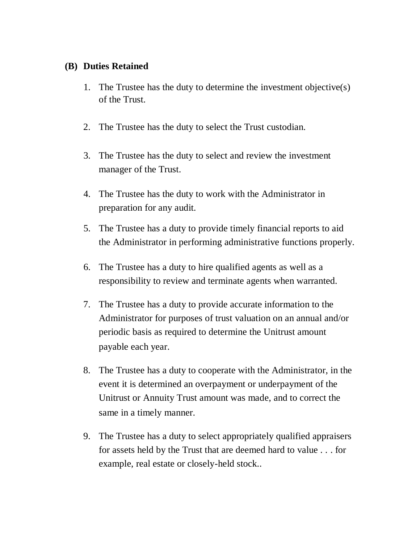#### **(B) Duties Retained**

- 1. The Trustee has the duty to determine the investment objective(s) of the Trust.
- 2. The Trustee has the duty to select the Trust custodian.
- 3. The Trustee has the duty to select and review the investment manager of the Trust.
- 4. The Trustee has the duty to work with the Administrator in preparation for any audit.
- 5. The Trustee has a duty to provide timely financial reports to aid the Administrator in performing administrative functions properly.
- 6. The Trustee has a duty to hire qualified agents as well as a responsibility to review and terminate agents when warranted.
- 7. The Trustee has a duty to provide accurate information to the Administrator for purposes of trust valuation on an annual and/or periodic basis as required to determine the Unitrust amount payable each year.
- 8. The Trustee has a duty to cooperate with the Administrator, in the event it is determined an overpayment or underpayment of the Unitrust or Annuity Trust amount was made, and to correct the same in a timely manner.
- 9. The Trustee has a duty to select appropriately qualified appraisers for assets held by the Trust that are deemed hard to value . . . for example, real estate or closely-held stock..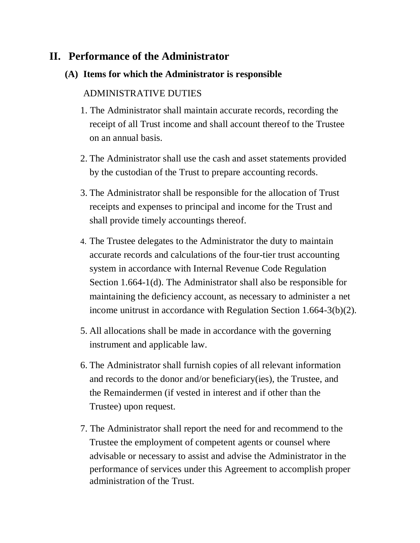## **II. Performance of the Administrator**

#### **(A) Items for which the Administrator is responsible**

### ADMINISTRATIVE DUTIES

- 1. The Administrator shall maintain accurate records, recording the receipt of all Trust income and shall account thereof to the Trustee on an annual basis.
- 2. The Administrator shall use the cash and asset statements provided by the custodian of the Trust to prepare accounting records.
- 3. The Administrator shall be responsible for the allocation of Trust receipts and expenses to principal and income for the Trust and shall provide timely accountings thereof.
- 4. The Trustee delegates to the Administrator the duty to maintain accurate records and calculations of the four-tier trust accounting system in accordance with Internal Revenue Code Regulation Section 1.664-1(d). The Administrator shall also be responsible for maintaining the deficiency account, as necessary to administer a net income unitrust in accordance with Regulation Section 1.664-3(b)(2).
- 5. All allocations shall be made in accordance with the governing instrument and applicable law.
- 6. The Administrator shall furnish copies of all relevant information and records to the donor and/or beneficiary(ies), the Trustee, and the Remaindermen (if vested in interest and if other than the Trustee) upon request.
- 7. The Administrator shall report the need for and recommend to the Trustee the employment of competent agents or counsel where advisable or necessary to assist and advise the Administrator in the performance of services under this Agreement to accomplish proper administration of the Trust.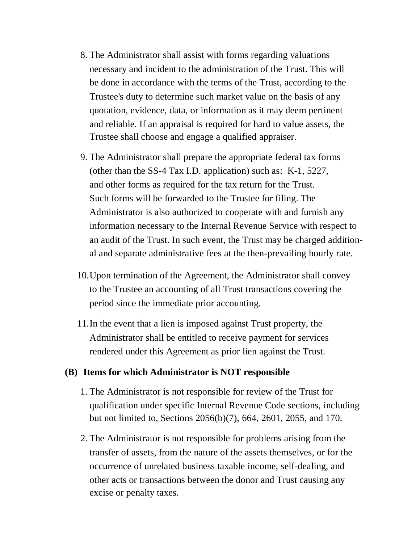- 8. The Administrator shall assist with forms regarding valuations necessary and incident to the administration of the Trust. This will be done in accordance with the terms of the Trust, according to the Trustee's duty to determine such market value on the basis of any quotation, evidence, data, or information as it may deem pertinent and reliable. If an appraisal is required for hard to value assets, the Trustee shall choose and engage a qualified appraiser.
- 9. The Administrator shall prepare the appropriate federal tax forms (other than the SS-4 Tax I.D. application) such as: K-1, 5227, and other forms as required for the tax return for the Trust. Such forms will be forwarded to the Trustee for filing. The Administrator is also authorized to cooperate with and furnish any information necessary to the Internal Revenue Service with respect to an audit of the Trust. In such event, the Trust may be charged additional and separate administrative fees at the then-prevailing hourly rate.
- 10.Upon termination of the Agreement, the Administrator shall convey to the Trustee an accounting of all Trust transactions covering the period since the immediate prior accounting.
- 11.In the event that a lien is imposed against Trust property, the Administrator shall be entitled to receive payment for services rendered under this Agreement as prior lien against the Trust.

#### **(B) Items for which Administrator is NOT responsible**

- 1. The Administrator is not responsible for review of the Trust for qualification under specific Internal Revenue Code sections, including but not limited to, Sections 2056(b)(7), 664, 2601, 2055, and 170.
- 2. The Administrator is not responsible for problems arising from the transfer of assets, from the nature of the assets themselves, or for the occurrence of unrelated business taxable income, self-dealing, and other acts or transactions between the donor and Trust causing any excise or penalty taxes.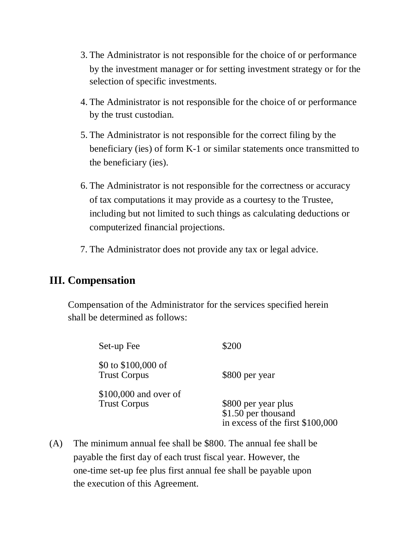- 3. The Administrator is not responsible for the choice of or performance by the investment manager or for setting investment strategy or for the selection of specific investments.
- 4. The Administrator is not responsible for the choice of or performance by the trust custodian.
- 5. The Administrator is not responsible for the correct filing by the beneficiary (ies) of form K-1 or similar statements once transmitted to the beneficiary (ies).
- 6. The Administrator is not responsible for the correctness or accuracy of tax computations it may provide as a courtesy to the Trustee, including but not limited to such things as calculating deductions or computerized financial projections.
- 7. The Administrator does not provide any tax or legal advice.

## **III. Compensation**

Compensation of the Administrator for the services specified herein shall be determined as follows:

| Set-up Fee                                    | \$200                                                                          |
|-----------------------------------------------|--------------------------------------------------------------------------------|
| $$0$ to $$100,000$ of<br><b>Trust Corpus</b>  | \$800 per year                                                                 |
| $$100,000$ and over of<br><b>Trust Corpus</b> | \$800 per year plus<br>\$1.50 per thousand<br>in excess of the first \$100,000 |

(A) The minimum annual fee shall be \$800. The annual fee shall be payable the first day of each trust fiscal year. However, the one-time set-up fee plus first annual fee shall be payable upon the execution of this Agreement.